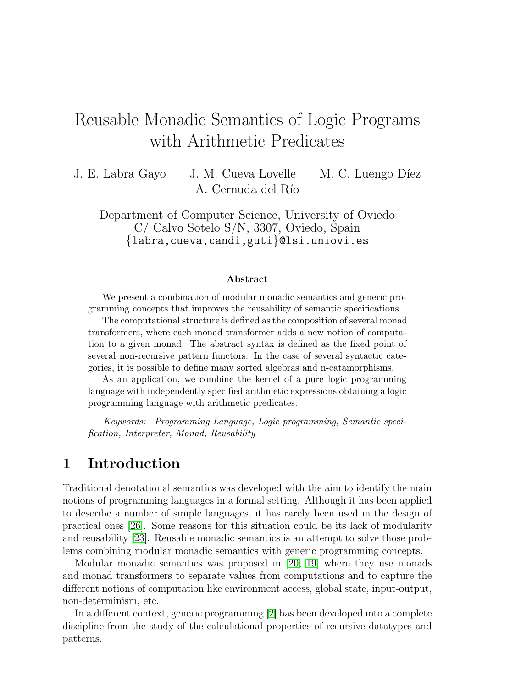# Reusable Monadic Semantics of Logic Programs with Arithmetic Predicates

J. E. Labra Gayo J. M. Cueva Lovelle M. C. Luengo Díez A. Cernuda del Río

Department of Computer Science, University of Oviedo C/ Calvo Sotelo S/N, 3307, Oviedo, Spain {labra,cueva,candi,guti}@lsi.uniovi.es

#### Abstract

We present a combination of modular monadic semantics and generic programming concepts that improves the reusability of semantic specifications.

The computational structure is defined as the composition of several monad transformers, where each monad transformer adds a new notion of computation to a given monad. The abstract syntax is defined as the fixed point of several non-recursive pattern functors. In the case of several syntactic categories, it is possible to define many sorted algebras and n-catamorphisms.

As an application, we combine the kernel of a pure logic programming language with independently specified arithmetic expressions obtaining a logic programming language with arithmetic predicates.

Keywords: Programming Language, Logic programming, Semantic specification, Interpreter, Monad, Reusability

## 1 Introduction

Traditional denotational semantics was developed with the aim to identify the main notions of programming languages in a formal setting. Although it has been applied to describe a number of simple languages, it has rarely been used in the design of practical ones [\[26\]](#page-14-0). Some reasons for this situation could be its lack of modularity and reusability [\[23\]](#page-14-1). Reusable monadic semantics is an attempt to solve those problems combining modular monadic semantics with generic programming concepts.

Modular monadic semantics was proposed in [\[20,](#page-14-2) [19\]](#page-14-3) where they use monads and monad transformers to separate values from computations and to capture the different notions of computation like environment access, global state, input-output, non-determinism, etc.

In a different context, generic programming [\[2\]](#page-12-0) has been developed into a complete discipline from the study of the calculational properties of recursive datatypes and patterns.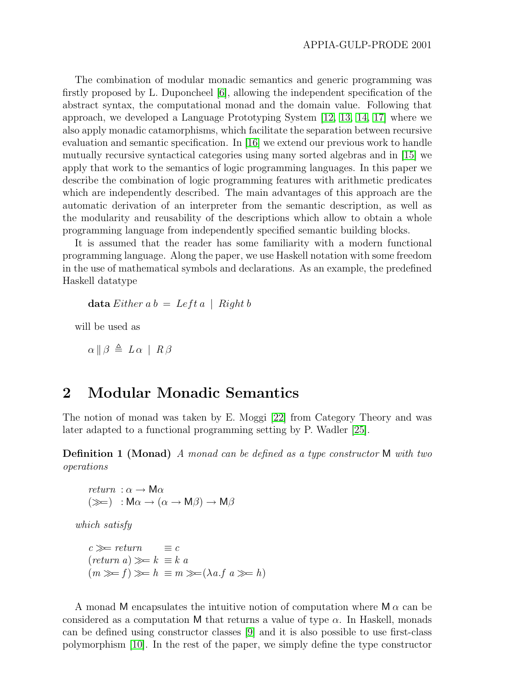The combination of modular monadic semantics and generic programming was firstly proposed by L. Duponcheel [\[6\]](#page-13-0), allowing the independent specification of the abstract syntax, the computational monad and the domain value. Following that approach, we developed a Language Prototyping System [\[12,](#page-13-1) [13,](#page-13-2) [14,](#page-13-3) [17\]](#page-14-4) where we also apply monadic catamorphisms, which facilitate the separation between recursive evaluation and semantic specification. In [\[16\]](#page-13-4) we extend our previous work to handle mutually recursive syntactical categories using many sorted algebras and in [\[15\]](#page-13-5) we apply that work to the semantics of logic programming languages. In this paper we describe the combination of logic programming features with arithmetic predicates which are independently described. The main advantages of this approach are the automatic derivation of an interpreter from the semantic description, as well as the modularity and reusability of the descriptions which allow to obtain a whole programming language from independently specified semantic building blocks.

It is assumed that the reader has some familiarity with a modern functional programming language. Along the paper, we use Haskell notation with some freedom in the use of mathematical symbols and declarations. As an example, the predefined Haskell datatype

data Either  $a b = Left a \mid Right b$ 

will be used as

 $\alpha \parallel \beta \triangleq L \alpha \parallel R \beta$ 

## 2 Modular Monadic Semantics

The notion of monad was taken by E. Moggi [\[22\]](#page-14-5) from Category Theory and was later adapted to a functional programming setting by P. Wadler [\[25\]](#page-14-6).

**Definition 1 (Monad)** A monad can be defined as a type constructor M with two operations

return :  $\alpha \rightarrow M\alpha$  $(\ggg) : \mathsf{M}\alpha \to (\alpha \to \mathsf{M}\beta) \to \mathsf{M}\beta$ 

which satisfy

 $c \gggt$  return  $\equiv c$  $(\text{return } a) \gg k \equiv k \ a$  $(m \gg f) \gg h \equiv m \gg (\lambda a.f a \gg h)$ 

A monad M encapsulates the intuitive notion of computation where  $\mathsf{M}_{\alpha}$  can be considered as a computation M that returns a value of type  $\alpha$ . In Haskell, monads can be defined using constructor classes [\[9\]](#page-13-6) and it is also possible to use first-class polymorphism [\[10\]](#page-13-7). In the rest of the paper, we simply define the type constructor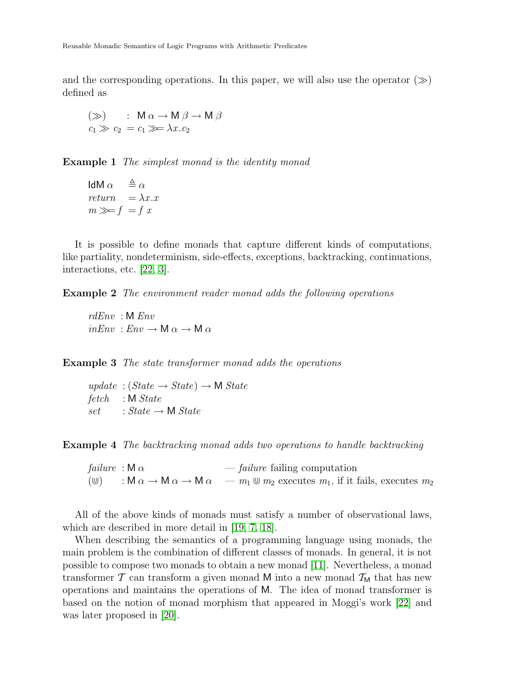and the corresponding operations. In this paper, we will also use the operator  $(\gg)$ defined as

$$
(\gg) : \mathsf{M} \alpha \to \mathsf{M} \beta \to \mathsf{M} \beta
$$
  

$$
c_1 \gg c_2 = c_1 \gg \lambda x . c_2
$$

**Example 1** The simplest monad is the identity monad

IdM  $\alpha \stackrel{\Delta}{=} \alpha$  $return = \lambda x . x$  $m \gg f = f x$ 

It is possible to define monads that capture different kinds of computations, like partiality, nondeterminism, side-effects, exceptions, backtracking, continuations, interactions, etc. [\[22,](#page-14-5) [3\]](#page-12-1).

Example 2 The environment reader monad adds the following operations

rdEnv : M Env  $inEnv : Env \rightarrow M \alpha \rightarrow M \alpha$ 

Example 3 The state transformer monad adds the operations

 $update : (State \rightarrow State) \rightarrow M State$ fetch : M State  $set$  : State  $\rightarrow$  M State

Example 4 The backtracking monad adds two operations to handle backtracking

failure :  $\mathsf{M}_{\alpha}$  — failure failing computation  $(\mathbb{U})$  : M  $\alpha \to M \alpha \to M \alpha$   $-m_1 \mathbb{U} m_2$  executes  $m_1$ , if it fails, executes  $m_2$ 

All of the above kinds of monads must satisfy a number of observational laws, which are described in more detail in [\[19,](#page-14-3) [7,](#page-13-8) [18\]](#page-14-7).

When describing the semantics of a programming language using monads, the main problem is the combination of different classes of monads. In general, it is not possible to compose two monads to obtain a new monad [\[11\]](#page-13-9). Nevertheless, a monad transformer  $\mathcal T$  can transform a given monad M into a new monad  $\mathcal T_M$  that has new operations and maintains the operations of M. The idea of monad transformer is based on the notion of monad morphism that appeared in Moggi's work [\[22\]](#page-14-5) and was later proposed in [\[20\]](#page-14-2).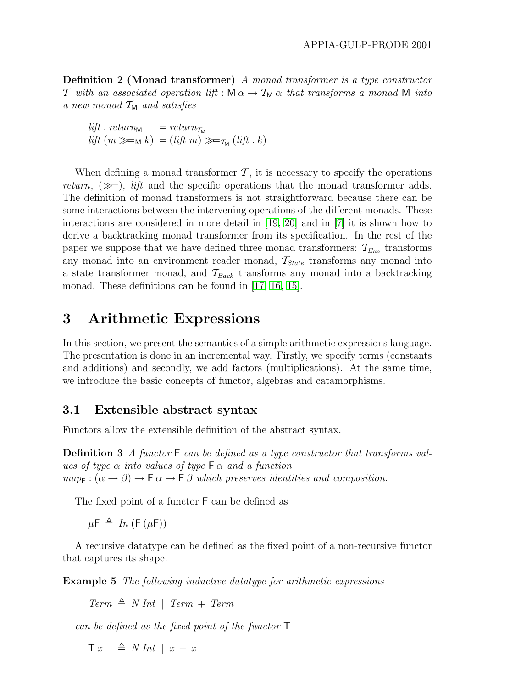Definition 2 (Monad transformer) A monad transformer is a type constructor T with an associated operation lift :  $M \alpha \rightarrow T_M \alpha$  that transforms a monad M into a new monad  $T_M$  and satisfies

lift . return<sub>M</sub>  $= return_{\text{M}}$  $lift (m \ggg M k) = (lift m) \ggg_{\pi M} (lift k)$ 

When defining a monad transformer  $\mathcal{T}$ , it is necessary to specify the operations return,  $(\gg)$ , lift and the specific operations that the monad transformer adds. The definition of monad transformers is not straightforward because there can be some interactions between the intervening operations of the different monads. These interactions are considered in more detail in [\[19,](#page-14-3) [20\]](#page-14-2) and in [\[7\]](#page-13-8) it is shown how to derive a backtracking monad transformer from its specification. In the rest of the paper we suppose that we have defined three monad transformers:  $\mathcal{T}_{Env}$  transforms any monad into an environment reader monad,  $\mathcal{T}_{State}$  transforms any monad into a state transformer monad, and  $\mathcal{T}_{Back}$  transforms any monad into a backtracking monad. These definitions can be found in [\[17,](#page-14-4) [16,](#page-13-4) [15\]](#page-13-5).

## 3 Arithmetic Expressions

In this section, we present the semantics of a simple arithmetic expressions language. The presentation is done in an incremental way. Firstly, we specify terms (constants and additions) and secondly, we add factors (multiplications). At the same time, we introduce the basic concepts of functor, algebras and catamorphisms.

#### 3.1 Extensible abstract syntax

Functors allow the extensible definition of the abstract syntax.

Definition 3 A functor F can be defined as a type constructor that transforms values of type  $\alpha$  into values of type  $\mathsf{F}\alpha$  and a function  $map_{\mathsf{F}}:(\alpha \to \beta) \to \mathsf{F}\alpha \to \mathsf{F}\beta$  which preserves identities and composition.

The fixed point of a functor F can be defined as

 $\mu \mathsf{F} \triangleq In(\mathsf{F}(\mu \mathsf{F}))$ 

A recursive datatype can be defined as the fixed point of a non-recursive functor that captures its shape.

**Example 5** The following inductive datatype for arithmetic expressions

 $Term \triangleq N Int \mid Term + Term$ 

can be defined as the fixed point of the functor T

 $\begin{array}{rcl} \top x & \triangleq N \ Int \mid x + x \end{array}$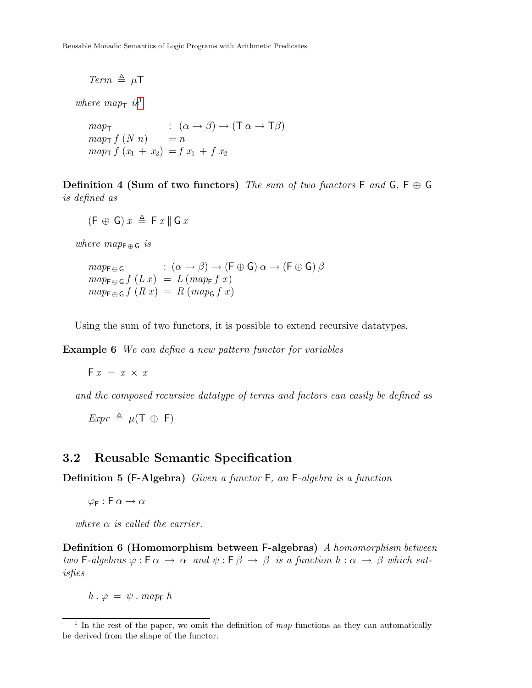Reusable Monadic Semantics of Logic Programs with Arithmetic Predicates

 $Term \triangleq \mu T$ 

where  $map_{\tau}$  is<sup>[1](#page-4-0)</sup>

 $map_{\mathsf{T}}$  :  $(\alpha \to \beta) \to (\mathsf{T} \alpha \to \mathsf{T} \beta)$  $map_{\mathsf{T}} f(N n) = n$  $map_{\mathsf{T}} f(x_1 + x_2) = f(x_1 + f(x_2))$ 

Definition 4 (Sum of two functors) The sum of two functors  $F$  and  $G$ ,  $F \oplus G$ is defined as

 $(F \oplus G) x \triangleq F x \parallel G x$ 

where  $map_{\text{F} \oplus \text{G}}$  is

$$
map_{\mathsf{F}\oplus\mathsf{G}} \quad : (\alpha \to \beta) \to (\mathsf{F}\oplus\mathsf{G}) \, \alpha \to (\mathsf{F}\oplus\mathsf{G}) \, \beta
$$
  

$$
map_{\mathsf{F}\oplus\mathsf{G}} f(Lx) = L(map_{\mathsf{F}} f x)
$$
  

$$
map_{\mathsf{F}\oplus\mathsf{G}} f(Rx) = R(map_{\mathsf{G}} f x)
$$

Using the sum of two functors, it is possible to extend recursive datatypes.

Example 6 We can define a new pattern functor for variables

 $F x = x \times x$ 

and the composed recursive datatype of terms and factors can easily be defined as

 $Expr \triangleq \mu(T \oplus F)$ 

#### 3.2 Reusable Semantic Specification

Definition 5 (F-Algebra) Given a functor F, an F-algebra is a function

 $\varphi_F : F \alpha \to \alpha$ 

where  $\alpha$  is called the carrier.

Definition 6 (Homomorphism between F-algebras) A homomorphism between two F-algebras  $\varphi : \mathsf{F} \alpha \to \alpha$  and  $\psi : \mathsf{F} \beta \to \beta$  is a function  $h : \alpha \to \beta$  which satisfies

 $h \cdot \varphi = \psi \cdot map_F h$ 

<span id="page-4-0"></span><sup>&</sup>lt;sup>1</sup> In the rest of the paper, we omit the definition of map functions as they can automatically be derived from the shape of the functor.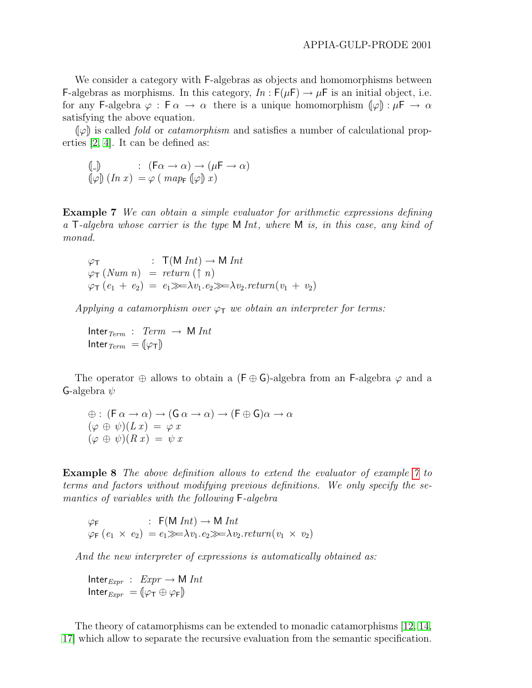We consider a category with F-algebras as objects and homomorphisms between F-algebras as morphisms. In this category,  $In: F(\mu) \to \mu$  is an initial object, i.e. for any F-algebra  $\varphi : \mathsf{F} \alpha \to \alpha$  there is a unique homomorphism  $(\varphi) : \mu \mathsf{F} \to \alpha$ satisfying the above equation.

 $\llbracket \varphi \rrbracket$  is called *fold* or *catamorphism* and satisfies a number of calculational properties [\[2,](#page-12-0) [4\]](#page-12-2). It can be defined as:

$$
\begin{array}{ll}\n\left(\!\!\left[\begin{smallmatrix}\!- \!\!\!\right] \end{smallmatrix}\right) & : & \left(\mathsf{F}\alpha \to \alpha\right) \to \left(\mu\mathsf{F} \to \alpha\right) \\
\left(\!\!\left[\varphi\right]\!\!\right) & \left(\ln x\right) & = \varphi \left(\text{ map } \left(\!\!\left[\varphi\right]\!\!\right) x\right)\n\end{array}
$$

<span id="page-5-0"></span>Example 7 We can obtain a simple evaluator for arithmetic expressions defining a  $\mathsf{T}\text{-}algebra$  whose carrier is the type M Int, where M is, in this case, any kind of monad.

$$
\varphi_{\mathsf{T}} : \mathsf{T}(M \text{ Int}) \to M \text{ Int}
$$
  
\n
$$
\varphi_{\mathsf{T}} (Num \text{ n}) = return (\uparrow \text{ n})
$$
  
\n
$$
\varphi_{\mathsf{T}} (e_1 + e_2) = e_1 \gg \Rightarrow \lambda v_1 . e_2 \gg \Rightarrow \lambda v_2 . return (v_1 + v_2)
$$

Applying a catamorphism over  $\varphi_T$  we obtain an interpreter for terms:

Inter $Term$  :  $Term \rightarrow M Int$ Inter  $T_{term} = (\varphi_T)$ 

The operator  $\oplus$  allows to obtain a (F  $\oplus$  G)-algebra from an F-algebra  $\varphi$  and a G-algebra  $\psi$ 

$$
\begin{array}{l}\n\oplus : (\mathsf{F} \alpha \to \alpha) \to (\mathsf{G} \alpha \to \alpha) \to (\mathsf{F} \oplus \mathsf{G})\alpha \to \alpha \\
(\varphi \oplus \psi)(Lx) = \varphi \, x \\
(\varphi \oplus \psi)(Rx) = \psi \, x\n\end{array}
$$

Example 8 The above definition allows to extend the evaluator of example [7](#page-5-0) to terms and factors without modifying previous definitions. We only specify the semantics of variables with the following F-algebra

$$
\varphi_{\mathsf{F}} : \mathsf{F}(\mathsf{M}\,\mathit{Int}) \to \mathsf{M}\,\mathit{Int}
$$
  

$$
\varphi_{\mathsf{F}}(e_1 \times e_2) = e_1 \gg \lambda v_1 \cdot e_2 \gg \lambda v_2 \cdot \mathit{return}(v_1 \times v_2)
$$

And the new interpreter of expressions is automatically obtained as:

$$
Inter_{\mathit{Expr}}: \mathit{Expr} \to M \mathit{Int}
$$

$$
Inter_{\mathit{Expr}} = (\varphi_T \oplus \varphi_F)
$$

The theory of catamorphisms can be extended to monadic catamorphisms [\[12,](#page-13-1) [14,](#page-13-3) [17\]](#page-14-4) which allow to separate the recursive evaluation from the semantic specification.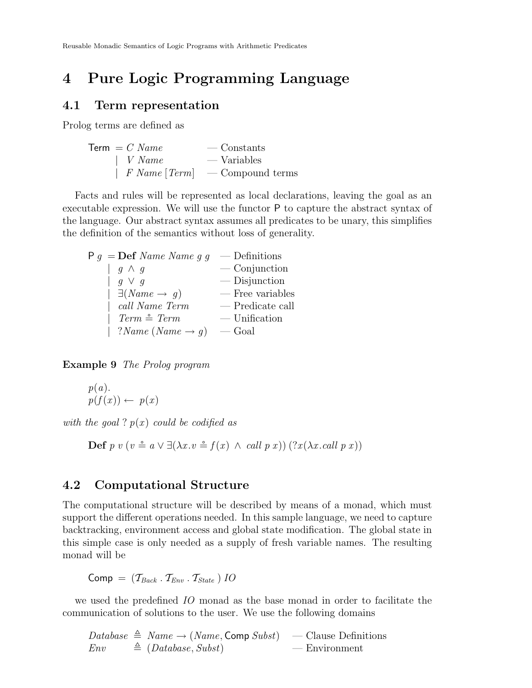## 4 Pure Logic Programming Language

#### 4.1 Term representation

Prolog terms are defined as

 $Term = C Name$  — Constants  $\mid$  *V Name* — Variables  $\mid$  F Name [Term]  $\mid$  - Compound terms

Facts and rules will be represented as local declarations, leaving the goal as an executable expression. We will use the functor P to capture the abstract syntax of the language. Our abstract syntax assumes all predicates to be unary, this simplifies the definition of the semantics without loss of generality.

| $P q = Def Name Name g g$           | $-$ Definitions    |
|-------------------------------------|--------------------|
| $g \wedge g$                        | $\sim$ Conjunction |
| $q \vee q$                          | $\sim$ Disjunction |
| $\mid \exists (Name \rightarrow g)$ | — Free variables   |
| call Name Term                      | — Predicate call   |
| $Term \triangleq Term$              | $-$ Unification    |
| $?Name(Name \rightarrow g)$         | — Goal             |

Example 9 The Prolog program

$$
p(a). p(f(x)) \leftarrow p(x)
$$

with the goal?  $p(x)$  could be codified as

Def p v  $(v \triangleq a \vee \exists (\lambda x. v \triangleq f(x) \wedge call p x))$   $(?x(\lambda x. \text{call } p x))$ 

#### 4.2 Computational Structure

The computational structure will be described by means of a monad, which must support the different operations needed. In this sample language, we need to capture backtracking, environment access and global state modification. The global state in this simple case is only needed as a supply of fresh variable names. The resulting monad will be

 $Comp = (T_{Back} \cdot T_{Env} \cdot T_{State}) IO$ 

we used the predefined IO monad as the base monad in order to facilitate the communication of solutions to the user. We use the following domains

 $Database \triangleq Name \rightarrow (Name, Comp Subst)$  — Clause Definitions  $Env \triangleq (Database, Subst)$  — Environment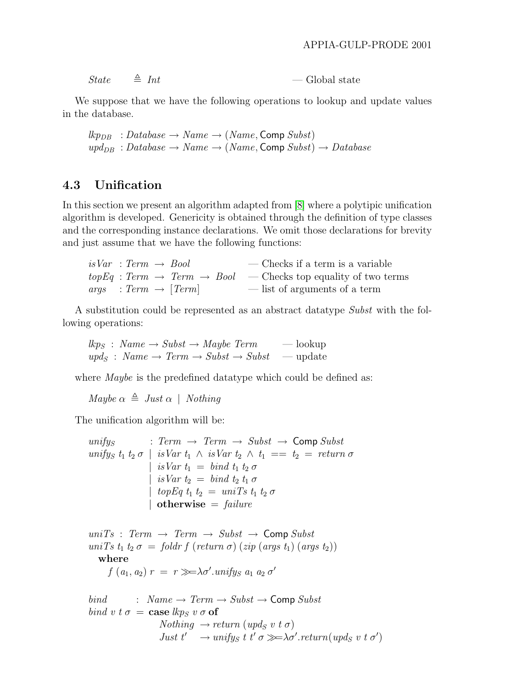| <b>State</b><br>$\triangleq Int$ | $\sim$ Global state |  |
|----------------------------------|---------------------|--|
|----------------------------------|---------------------|--|

We suppose that we have the following operations to lookup and update values in the database.

 $lkp_{DB} : Database \rightarrow Name \rightarrow (Name, Comp Subst)$  $upd_{DB} : Database \rightarrow Name \rightarrow (Name, Comp Subst) \rightarrow Database$ 

#### 4.3 Unification

In this section we present an algorithm adapted from [\[8\]](#page-13-10) where a polytipic unification algorithm is developed. Genericity is obtained through the definition of type classes and the corresponding instance declarations. We omit those declarations for brevity and just assume that we have the following functions:

| $isVar : Term \rightarrow Bool$ | — Checks if a term is a variable                                                   |
|---------------------------------|------------------------------------------------------------------------------------|
|                                 | $topEq: Term \rightarrow Term \rightarrow Bool$ - Checks top equality of two terms |
| $args: Term \rightarrow [Term]$ | — list of arguments of a term                                                      |

A substitution could be represented as an abstract datatype Subst with the following operations:

 $\ell k p_S : Name \rightarrow Subst \rightarrow Maybe Term$  — lookup  $\textit{upd}_S : \textit{Name} \rightarrow \textit{Term} \rightarrow \textit{Subst} \rightarrow \textit{Subst} \rightarrow \text{update}$ 

where *Maybe* is the predefined datatype which could be defined as:

Maybe  $\alpha \triangleq Just \alpha \mid Nothing$ 

The unification algorithm will be:

unifys : Term  $\rightarrow$  Term  $\rightarrow$  Subst  $\rightarrow$  Comp Subst unifys  $t_1$   $t_2$   $\sigma$  | is Var  $t_1 \wedge$  is Var  $t_2 \wedge t_1 == t_2 = return \sigma$ | isVar  $t_1 = bind t_1 t_2 \sigma$ | isVar  $t_2 = bind t_2 t_1 \sigma$ | topEq  $t_1$   $t_2$  = uniTs  $t_1$   $t_2$   $\sigma$ | otherwise  $=$  failure

 $unifs: Term \rightarrow Term \rightarrow Subst \rightarrow CompSubst$ uniTs  $t_1 t_2 \sigma =$  foldr f (return  $\sigma$ ) (zip (args  $t_1$ ) (args  $t_2$ )) where  $f(a_1, a_2) r = r \gg \lambda \sigma'.$ unifys  $a_1 a_2 \sigma'$ 

$$
bind : Name \rightarrow Term \rightarrow Subst \rightarrow Comp Subst
$$
\n
$$
bind \, v \, t \, \sigma = \text{case } \text{lkp}_S \, v \, \sigma \, \text{of}
$$
\n
$$
Nothing \rightarrow return \, (upd_S \, v \, t \, \sigma)
$$
\n
$$
Just \, t' \rightarrow unify_S \, t \, t' \, \sigma \gg \lambda \sigma'.return (upd_S \, v \, t \, \sigma')
$$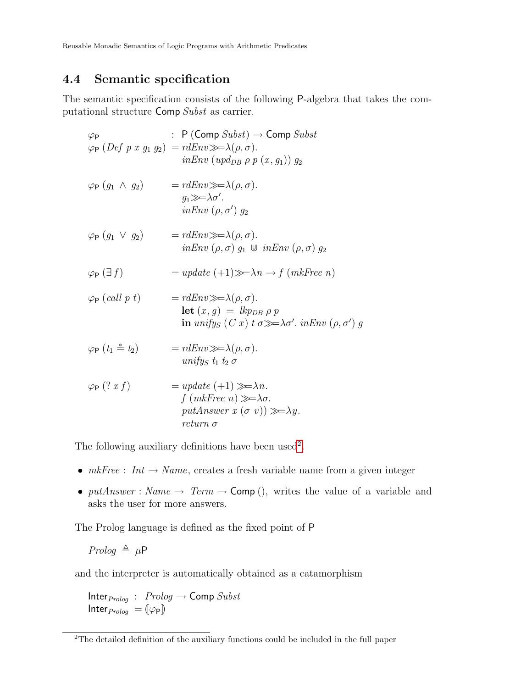Reusable Monadic Semantics of Logic Programs with Arithmetic Predicates

#### 4.4 Semantic specification

The semantic specification consists of the following P-algebra that takes the computational structure Comp Subst as carrier.

$$
\varphi_{\mathsf{P}} \qquad : \mathsf{P}(\text{Comp } \text{Subst}) \to \text{Comp } \text{Subst}
$$
\n
$$
\varphi_{\mathsf{P}} (Def \ p \ x \ g_1 \ g_2) = r dEnv \gg \lambda(\rho, \sigma).
$$
\n
$$
inEnv \ (upd_{DB} \ \rho \ p \ (x, g_1)) \ g_2
$$
\n
$$
\varphi_{\mathsf{P}} (g_1 \ \wedge \ g_2) = r dEnv \gg \lambda(\rho, \sigma).
$$
\n
$$
g_1 \gg \lambda \sigma'.
$$
\n
$$
inEnv \ (\rho, \sigma') \ g_2
$$
\n
$$
\varphi_{\mathsf{P}} (g_1 \ \vee \ g_2) = r dEnv \gg \lambda(\rho, \sigma).
$$
\n
$$
inEnv \ (\rho, \sigma) \ g_1 \ \cup \ inEnv \ (\rho, \sigma) \ g_2
$$
\n
$$
\varphi_{\mathsf{P}} (\exists f) = update (+1) \gg \lambda n \to f (mkFree \ n)
$$
\n
$$
\varphi_{\mathsf{P}} (call \ p \ t) = r dEnv \gg \lambda(\rho, \sigma).
$$
\n
$$
let (x, g) = lkp_{DB} \ \rho \ p
$$
\n
$$
in unifys (C \ x) \ t \ \sigma \gg \lambda \sigma'. inEnv (\rho, \sigma') \ g
$$
\n
$$
\varphi_{\mathsf{P}} (t_1 \ \dot{=} \ t_2) = r dEnv \gg \lambda(\rho, \sigma).
$$
\n
$$
unifys \ t_1 \ t_2 \ \sigma
$$
\n
$$
\varphi_{\mathsf{P}} (? \ x \ f) = update (+1) \gg \lambda n.
$$
\n
$$
f (mkFree \ n) \gg \lambda \sigma.
$$
\n
$$
putAnswer \ x (\sigma \ v)) \gg \lambda y.
$$
\n
$$
return \sigma
$$

The following auxiliary definitions have been used<sup>[2](#page-8-0)</sup>.

- $mkFree: Int \rightarrow Name$ , creates a fresh variable name from a given integer
- putAnswer : Name  $\rightarrow$  Term  $\rightarrow$  Comp (), writes the value of a variable and asks the user for more answers.

The Prolog language is defined as the fixed point of P

$$
Prolog \triangleq \mu \mathsf{P}
$$

and the interpreter is automatically obtained as a catamorphism

 $Inter_{Prolog}$  :  $Prolog \rightarrow Comp$  Subst Inter $_{Prolog} = [\varphi_P]$ 

<span id="page-8-0"></span><sup>2</sup>The detailed definition of the auxiliary functions could be included in the full paper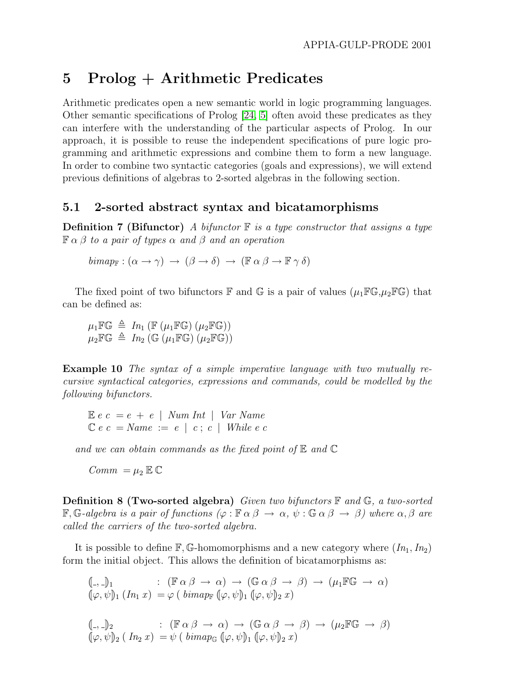## 5 Prolog + Arithmetic Predicates

Arithmetic predicates open a new semantic world in logic programming languages. Other semantic specifications of Prolog [\[24,](#page-14-8) [5\]](#page-13-11) often avoid these predicates as they can interfere with the understanding of the particular aspects of Prolog. In our approach, it is possible to reuse the independent specifications of pure logic programming and arithmetic expressions and combine them to form a new language. In order to combine two syntactic categories (goals and expressions), we will extend previous definitions of algebras to 2-sorted algebras in the following section.

#### 5.1 2-sorted abstract syntax and bicatamorphisms

**Definition 7 (Bifunctor)** A bifunctor  $\mathbb{F}$  is a type constructor that assigns a type  $\mathbb{F} \alpha \beta$  to a pair of types  $\alpha$  and  $\beta$  and an operation

 $bimap_F : (\alpha \to \gamma) \to (\beta \to \delta) \to (\mathbb{F} \alpha \beta \to \mathbb{F} \gamma \delta)$ 

The fixed point of two bifunctors  $\mathbb F$  and  $\mathbb G$  is a pair of values  $(\mu_1 \mathbb F \mathbb G, \mu_2 \mathbb F \mathbb G)$  that can be defined as:

 $\mu_1 \mathbb{F} \mathbb{G} \triangleq In_1 \left( \mathbb{F} \left( \mu_1 \mathbb{F} \mathbb{G} \right) \left( \mu_2 \mathbb{F} \mathbb{G} \right) \right)$  $\mu_2 \mathbb{F} \mathbb{G} \triangleq In_2(\mathbb{G}(\mu_1 \mathbb{F} \mathbb{G}) \cup \mu_2 \mathbb{F} \mathbb{G}))$ 

<span id="page-9-0"></span>Example 10 The syntax of a simple imperative language with two mutually recursive syntactical categories, expressions and commands, could be modelled by the following bifunctors.

 $E e c = e + e$  | Num Int | Var Name  $C e c = Name := e \mid c : c \mid While e c$ 

and we can obtain commands as the fixed point of  $E$  and  $C$ 

 $Comm = \mu_2 \mathbb{E} \mathbb{C}$ 

**Definition 8 (Two-sorted algebra)** Given two bifunctors  $\mathbb{F}$  and  $\mathbb{G}$ , a two-sorted  $\mathbb{F}, \mathbb{G}-algebra$  is a pair of functions  $(\varphi : \mathbb{F} \alpha \beta \to \alpha, \psi : \mathbb{G} \alpha \beta \to \beta)$  where  $\alpha, \beta$  are called the carriers of the two-sorted algebra.

It is possible to define  $\mathbb{F}, \mathbb{G}$ -homomorphisms and a new category where  $(In_1, In_2)$ form the initial object. This allows the definition of bicatamorphisms as:

$$
\begin{array}{lll}\n\langle \!\!\!\langle -,-\rangle \!\!\!\rangle_1 & : (\mathbb{F}\,\alpha\,\beta \to \alpha) \to (\mathbb{G}\,\alpha\,\beta \to \beta) \to (\mu_1\mathbb{F}\mathbb{G} \to \alpha) \\
\langle \!\!\!\langle \varphi, \psi \rangle \!\!\!\rangle_1 (In_1 x) = \varphi \left( \operatorname{bimap}_{\mathbb{F}} \left( \!\!\!\langle \varphi, \psi \rangle \!\!\!\rangle_1 \left( \!\!\!\langle \varphi, \psi \rangle \!\!\!\rangle_2 x \right) \right.\n\end{array}
$$
\n
$$
\begin{array}{lll}\n\langle \!\!\!\langle -,-\rangle \!\!\!\rangle_2 & : (\mathbb{F}\,\alpha\,\beta \to \alpha) \to (\mathbb{G}\,\alpha\,\beta \to \beta) \to (\mu_2\mathbb{F}\mathbb{G} \to \beta) \\
\langle \!\!\!\langle \varphi, \psi \rangle \!\!\!\rangle_2 (In_2 x) = \psi \left( \operatorname{bimap}_{\mathbb{G}} \left( \!\!\!\langle \varphi, \psi \rangle \!\!\rangle_1 \left( \!\!\!\langle \varphi, \psi \rangle \!\!\rangle_2 x \right) \right.\n\end{array}
$$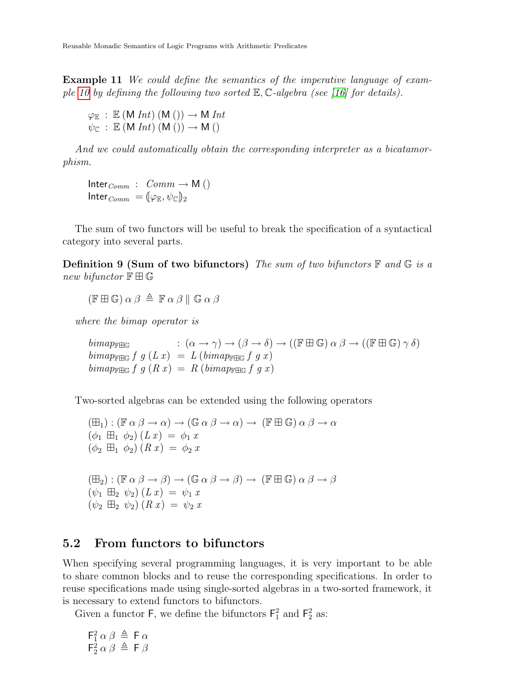Example 11 We could define the semantics of the imperative language of exam-ple [10](#page-9-0) by defining the following two sorted  $\mathbb{E}, \mathbb{C}$ -algebra (see [\[16\]](#page-13-4) for details).

$$
\begin{array}{l} \varphi_{\mathbb{E}}\;:\; \mathbb{E}\; (M\; Int)\; (M\;()) \to M\; Int \\ \psi_{\mathbb{C}}\;:\; \mathbb{E}\; (M\; Int)\; (M\;()) \to M\; () \end{array}
$$

And we could automatically obtain the corresponding interpreter as a bicatamorphism.

 $Inter_{Comm} : Comm \rightarrow M()$ Inter $_{Comm} = [\varphi_{\mathbb{E}}, \psi_{\mathbb{C}}]_2$ 

The sum of two functors will be useful to break the specification of a syntactical category into several parts.

**Definition 9 (Sum of two bifunctors)** The sum of two bifunctors  $\mathbb{F}$  and  $\mathbb{G}$  is a new bifunctor  $\mathbb{F} \boxplus \mathbb{G}$ 

 $(F \boxplus \mathbb{G}) \alpha \beta \triangleq \mathbb{F} \alpha \beta \parallel \mathbb{G} \alpha \beta$ 

where the bimap operator is

 $bimap_{\mathbb{F} \boxplus \mathbb{G}}$  :  $(\alpha \to \gamma) \to (\beta \to \delta) \to ((\mathbb{F} \boxplus \mathbb{G}) \alpha \beta \to ((\mathbb{F} \boxplus \mathbb{G}) \gamma \delta)$  $bimap_{\mathbb{F} \mathbb{H} \mathbb{G}} f g (L x) = L (bimap_{\mathbb{F} \mathbb{H} \mathbb{G}} f g x)$  $bimap_{\mathbb{F} \mathbb{H} \mathbb{G}}$   $f \, g \, (R \, x) = R \, (bimap_{\mathbb{F} \mathbb{H} \mathbb{G}} \, f \, g \, x)$ 

Two-sorted algebras can be extended using the following operators

 $(\boxplus_1) : (\mathbb{F} \alpha \beta \rightarrow \alpha) \rightarrow (\mathbb{G} \alpha \beta \rightarrow \alpha) \rightarrow (\mathbb{F} \boxplus \mathbb{G}) \alpha \beta \rightarrow \alpha$  $(\phi_1 \boxplus_1 \phi_2)$   $(L x) = \phi_1 x$  $(\phi_2 \boxplus_1 \phi_2) (R x) = \phi_2 x$  $(\boxplus_2) : (\mathbb{F} \alpha \beta \rightarrow \beta) \rightarrow (\mathbb{G} \alpha \beta \rightarrow \beta) \rightarrow (\mathbb{F} \boxplus \mathbb{G}) \alpha \beta \rightarrow \beta$  $(\psi_1 \boxplus_2 \psi_2) (L x) = \psi_1 x$  $(\psi_2 \boxplus_2 \psi_2) (R x) = \psi_2 x$ 

#### 5.2 From functors to bifunctors

When specifying several programming languages, it is very important to be able to share common blocks and to reuse the corresponding specifications. In order to reuse specifications made using single-sorted algebras in a two-sorted framework, it is necessary to extend functors to bifunctors.

Given a functor  $\mathsf{F}$ , we define the bifunctors  $\mathsf{F}_1^2$  and  $\mathsf{F}_2^2$  as:

$$
\begin{array}{l}\nF_1^2 \alpha \beta \triangleq \mathsf{F} \alpha \\
\mathsf{F}_2^2 \alpha \beta \triangleq \mathsf{F} \beta\n\end{array}
$$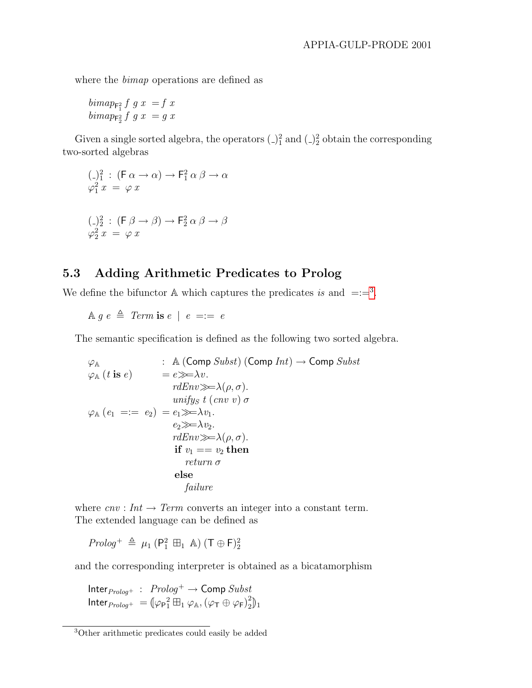where the bimap operations are defined as

 $bimap_{\mathsf{F}_1^2} f g x = f x$  $\begin{array}{c}\n\lim_{x \to 0} \arg x = g x \\
\lim_{x \to 0} \arg x = g x\n\end{array}$ 

Given a single sorted algebra, the operators  $\left(\frac{1}{2}\right)^2$  and  $\left(\frac{1}{2}\right)^2$  obtain the corresponding two-sorted algebras

$$
(\square)_1^2 : (\mathsf{F} \alpha \to \alpha) \to \mathsf{F}_1^2 \alpha \beta \to \alpha
$$
  

$$
\varphi_1^2 x = \varphi x
$$
  

$$
(\square)_2^2 : (\mathsf{F} \beta \to \beta) \to \mathsf{F}_2^2 \alpha \beta \to \beta
$$
  

$$
\varphi_2^2 x = \varphi x
$$

#### 5.3 Adding Arithmetic Predicates to Prolog

We define the bifunctor  $\mathbb A$  which captures the predicates is and  $=:=^3$  $=:=^3$ .

 $\land q e \triangleq Term$  is  $e | e == e$ 

The semantic specification is defined as the following two sorted algebra.

$$
\varphi_{\mathbb{A}} \qquad : \mathbb{A} (\text{Comp } \text{Subst}) (\text{Comp } \text{Int}) \to \text{Comp } \text{Subst}
$$
\n
$$
\varphi_{\mathbb{A}} (t \text{ is } e) \qquad = e \gg \to v.
$$
\n
$$
rdEnv \gg \to \lambda(\rho, \sigma).
$$
\n
$$
\varphi_{\mathbb{A}} (e_1 = := e_2) = e_1 \gg \to \lambda v_1.
$$
\n
$$
e_2 \gg \to \lambda v_2.
$$
\n
$$
rdEnv \gg \to \lambda(\rho, \sigma).
$$
\n
$$
\text{if } v_1 == v_2 \text{ then}
$$
\n
$$
return \sigma
$$
\n
$$
\text{else}
$$
\n
$$
\text{failure}
$$

where  $cnv: Int \to Term$  converts an integer into a constant term. The extended language can be defined as

 $Prolog^+ \triangleq \mu_1 \left( \mathsf{P}_1^2 \boxplus_1 \mathbb{A} \right) (\mathsf{T} \oplus \mathsf{F})_2^2$ 

and the corresponding interpreter is obtained as a bicatamorphism

Inter $_{Prolog}$ + :  $Prolog^+ \rightarrow$  Comp  $Subst$  $\mathsf{Inter}_{\mathit{Prolog}^+} \ = \left[ \varphi_{\mathsf{P}_1}^{\ 2} \boxplus_1 \varphi_{\mathbb{A}}, \left( \varphi_{\mathsf{T}} \oplus \varphi_{\mathsf{F}} \right)_2^2 \right.$  $\binom{2}{2}$ <sub>1</sub>

<span id="page-11-0"></span><sup>3</sup>Other arithmetic predicates could easily be added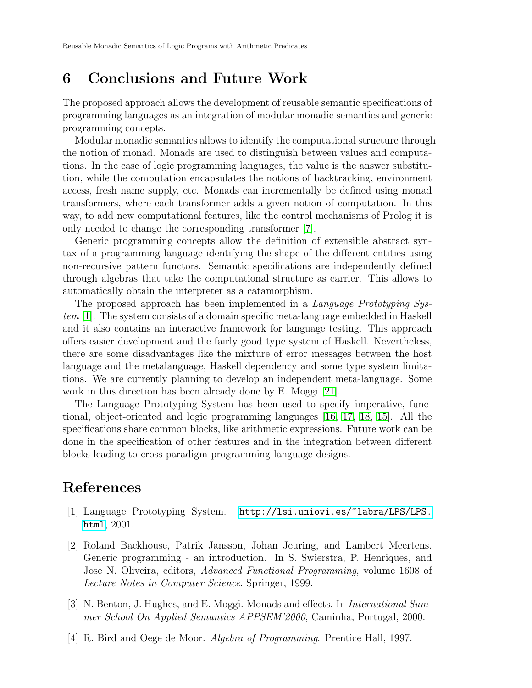## 6 Conclusions and Future Work

The proposed approach allows the development of reusable semantic specifications of programming languages as an integration of modular monadic semantics and generic programming concepts.

Modular monadic semantics allows to identify the computational structure through the notion of monad. Monads are used to distinguish between values and computations. In the case of logic programming languages, the value is the answer substitution, while the computation encapsulates the notions of backtracking, environment access, fresh name supply, etc. Monads can incrementally be defined using monad transformers, where each transformer adds a given notion of computation. In this way, to add new computational features, like the control mechanisms of Prolog it is only needed to change the corresponding transformer [\[7\]](#page-13-8).

Generic programming concepts allow the definition of extensible abstract syntax of a programming language identifying the shape of the different entities using non-recursive pattern functors. Semantic specifications are independently defined through algebras that take the computational structure as carrier. This allows to automatically obtain the interpreter as a catamorphism.

The proposed approach has been implemented in a Language Prototyping System [\[1\]](#page-12-3). The system consists of a domain specific meta-language embedded in Haskell and it also contains an interactive framework for language testing. This approach offers easier development and the fairly good type system of Haskell. Nevertheless, there are some disadvantages like the mixture of error messages between the host language and the metalanguage, Haskell dependency and some type system limitations. We are currently planning to develop an independent meta-language. Some work in this direction has been already done by E. Moggi [\[21\]](#page-14-9).

The Language Prototyping System has been used to specify imperative, functional, object-oriented and logic programming languages [\[16,](#page-13-4) [17,](#page-14-4) [18,](#page-14-7) [15\]](#page-13-5). All the specifications share common blocks, like arithmetic expressions. Future work can be done in the specification of other features and in the integration between different blocks leading to cross-paradigm programming language designs.

## References

- <span id="page-12-3"></span>[1] Language Prototyping System. [http://lsi.uniovi.es/~labra/LPS/LPS.](http://lsi.uniovi.es/~labra/LPS/LPS.html) [html](http://lsi.uniovi.es/~labra/LPS/LPS.html), 2001.
- <span id="page-12-0"></span>[2] Roland Backhouse, Patrik Jansson, Johan Jeuring, and Lambert Meertens. Generic programming - an introduction. In S. Swierstra, P. Henriques, and Jose N. Oliveira, editors, Advanced Functional Programming, volume 1608 of Lecture Notes in Computer Science. Springer, 1999.
- <span id="page-12-1"></span>[3] N. Benton, J. Hughes, and E. Moggi. Monads and effects. In International Summer School On Applied Semantics APPSEM'2000, Caminha, Portugal, 2000.
- <span id="page-12-2"></span>[4] R. Bird and Oege de Moor. Algebra of Programming. Prentice Hall, 1997.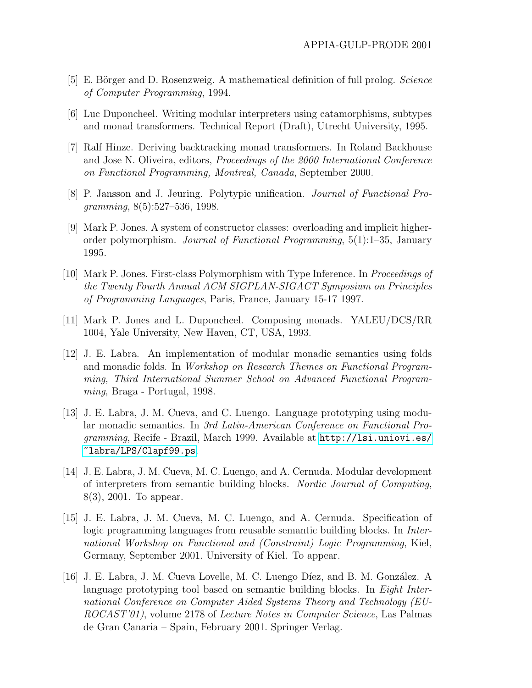- <span id="page-13-11"></span>[5] E. Börger and D. Rosenzweig. A mathematical definition of full prolog. Science of Computer Programming, 1994.
- <span id="page-13-0"></span>[6] Luc Duponcheel. Writing modular interpreters using catamorphisms, subtypes and monad transformers. Technical Report (Draft), Utrecht University, 1995.
- <span id="page-13-8"></span>[7] Ralf Hinze. Deriving backtracking monad transformers. In Roland Backhouse and Jose N. Oliveira, editors, Proceedings of the 2000 International Conference on Functional Programming, Montreal, Canada, September 2000.
- <span id="page-13-10"></span>[8] P. Jansson and J. Jeuring. Polytypic unification. Journal of Functional Programming, 8(5):527–536, 1998.
- <span id="page-13-6"></span>[9] Mark P. Jones. A system of constructor classes: overloading and implicit higherorder polymorphism. Journal of Functional Programming, 5(1):1–35, January 1995.
- <span id="page-13-7"></span>[10] Mark P. Jones. First-class Polymorphism with Type Inference. In Proceedings of the Twenty Fourth Annual ACM SIGPLAN-SIGACT Symposium on Principles of Programming Languages, Paris, France, January 15-17 1997.
- <span id="page-13-9"></span>[11] Mark P. Jones and L. Duponcheel. Composing monads. YALEU/DCS/RR 1004, Yale University, New Haven, CT, USA, 1993.
- <span id="page-13-1"></span>[12] J. E. Labra. An implementation of modular monadic semantics using folds and monadic folds. In Workshop on Research Themes on Functional Programming, Third International Summer School on Advanced Functional Programming, Braga - Portugal, 1998.
- <span id="page-13-2"></span>[13] J. E. Labra, J. M. Cueva, and C. Luengo. Language prototyping using modular monadic semantics. In 3rd Latin-American Conference on Functional Programming, Recife - Brazil, March 1999. Available at [http://lsi.uniovi.es/](http://lsi.uniovi.es/~labra/LPS/Clapf99.ps) [~labra/LPS/Clapf99.ps](http://lsi.uniovi.es/~labra/LPS/Clapf99.ps).
- <span id="page-13-3"></span>[14] J. E. Labra, J. M. Cueva, M. C. Luengo, and A. Cernuda. Modular development of interpreters from semantic building blocks. Nordic Journal of Computing, 8(3), 2001. To appear.
- <span id="page-13-5"></span>[15] J. E. Labra, J. M. Cueva, M. C. Luengo, and A. Cernuda. Specification of logic programming languages from reusable semantic building blocks. In International Workshop on Functional and (Constraint) Logic Programming, Kiel, Germany, September 2001. University of Kiel. To appear.
- <span id="page-13-4"></span>[16] J. E. Labra, J. M. Cueva Lovelle, M. C. Luengo Díez, and B. M. González. A language prototyping tool based on semantic building blocks. In Eight International Conference on Computer Aided Systems Theory and Technology (EU-ROCAST'01), volume 2178 of Lecture Notes in Computer Science, Las Palmas de Gran Canaria – Spain, February 2001. Springer Verlag.